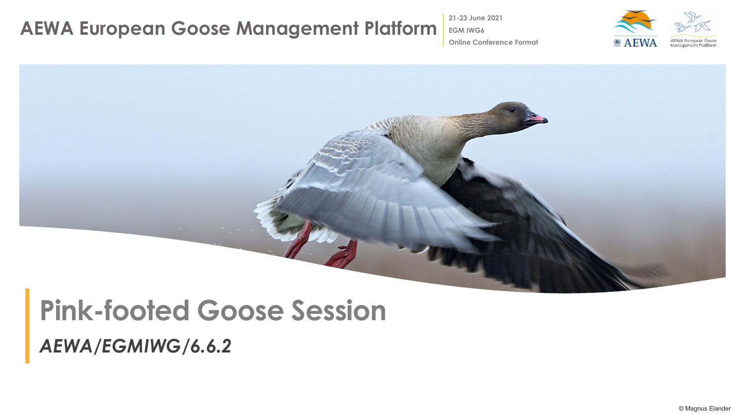**21-23 June 2021**

**Online Conference Format**

**EGM IWG6**

 $\bullet$  AEWA Management Platforn



# **Pink-footed Goose Session**

*AEWA/EGMIWG/6.6.2*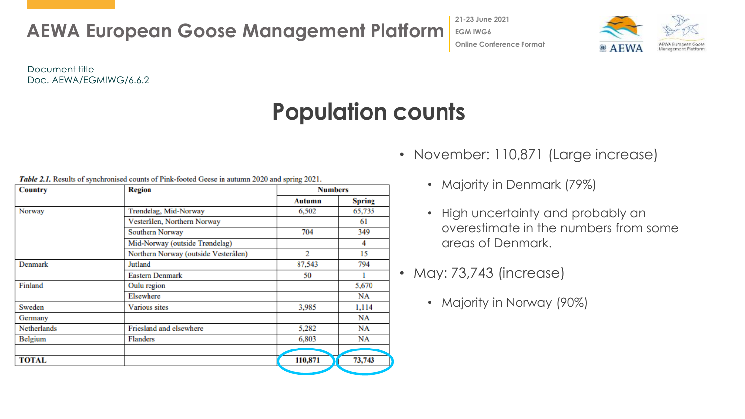**21-23 June 2021 EGM IWG6 Online Conference Format**



Document title Doc. AEWA/EGMIWG/6.6.2

### **Population counts**

| <b>Country</b> | <b>Region</b>                        | <b>Numbers</b> |               |
|----------------|--------------------------------------|----------------|---------------|
|                |                                      | Autumn         | <b>Spring</b> |
| Norway         | Trøndelag, Mid-Norway                | 6,502          | 65,735        |
|                | Vesterålen, Northern Norway          |                | 61            |
|                | Southern Norway                      | 704            | 349           |
|                | Mid-Norway (outside Trøndelag)       |                | 4             |
|                | Northern Norway (outside Vesterålen) | 2              | 15            |
| Denmark        | Jutland                              | 87,543         | 794           |
|                | <b>Eastern Denmark</b>               | 50             |               |
| Finland        | Oulu region                          |                | 5,670         |
|                | Elsewhere                            |                | NA            |
| Sweden         | Various sites                        | 3,985          | 1,114         |
| Germany        |                                      |                | NA            |
| Netherlands    | Friesland and elsewhere              | 5,282          | NA            |
| Belgium        | <b>Flanders</b>                      | 6,803          | NA            |
|                |                                      |                |               |
| <b>TOTAL</b>   |                                      | 110,871        | 73,743        |

**Table 2.1.** Results of synchronised counts of Pink-footed Geese in autumn 2020 and spring 2021.

- November: 110,871 (Large increase)
	- Majority in Denmark (79%)
	- High uncertainty and probably an overestimate in the numbers from some areas of Denmark.
- May: 73,743 (increase)
	- Majority in Norway (90%)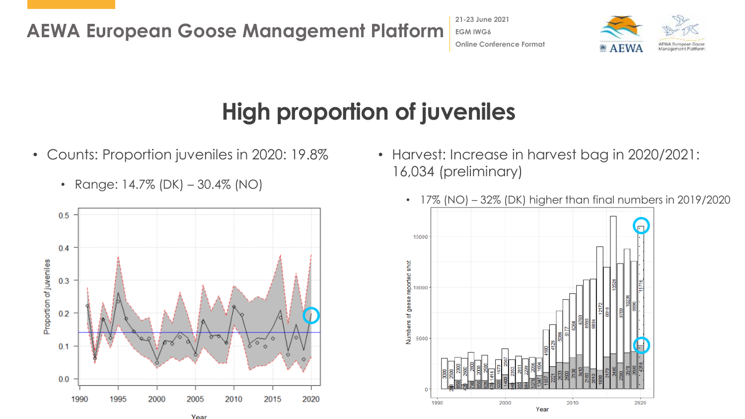**21-23 June 2021 EGM IWG6 Online Conference Format**



# **High proportion of juveniles**

- Counts: Proportion juveniles in 2020: 19.8%
	- Range:  $14.7\%$  (DK)  $-30.4\%$  (NO)



• Harvest: Increase in harvest bag in 2020/2021: 16,034 (preliminary)



• 17% (NO) – 32% (DK) higher than final numbers in 2019/2020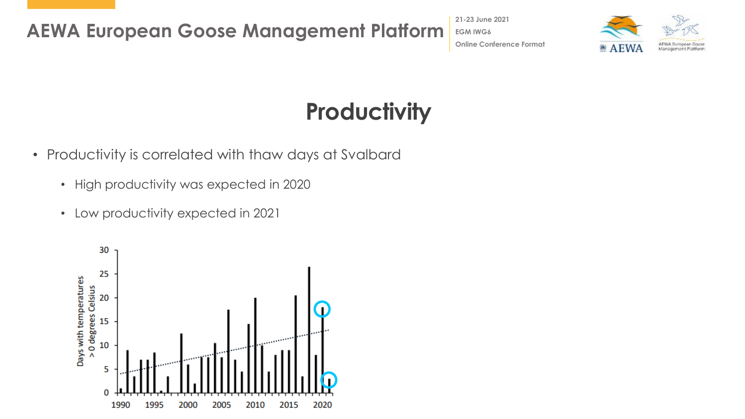**21-23 June 2021 EGM IWG6 Online Conference Format**



# **Productivity**

- Productivity is correlated with thaw days at Svalbard
	- High productivity was expected in 2020
	- Low productivity expected in 2021

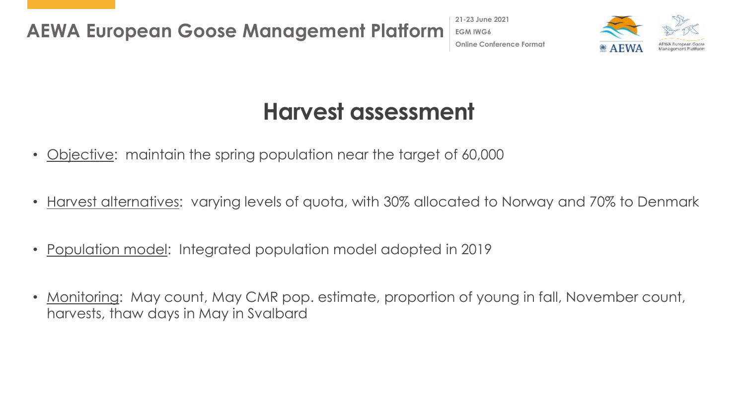**21-23 June 2021 EGM IWG6 Online Conference Format**



#### **Harvest assessment**

- <u>Objective</u>: maintain the spring population near the target of 60,000
- Harvest alternatives: varying levels of quota, with 30% allocated to Norway and 70% to Denmark
- Population model: Integrated population model adopted in 2019
- <u>Monitoring</u>: May count, May CMR pop. estimate, proportion of young in fall, November count, harvests, thaw days in May in Svalbard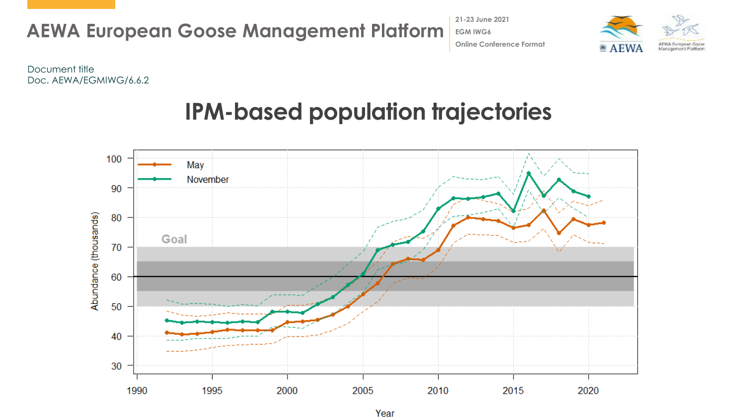

**21-23 June 2021 EGM IWG6 Online Conference Format**



Document title Doc. AEWA/EGMIWG/6.6.2

### **IPM-based population trajectories**

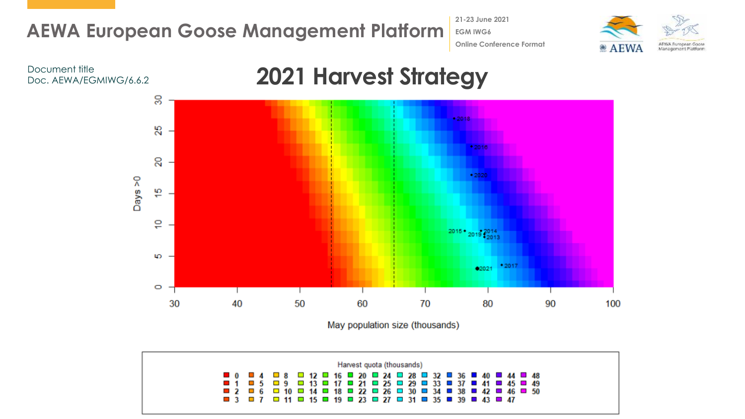**21-23 June 2021 EGM IWG6 Online Conference Format**





May population size (thousands)